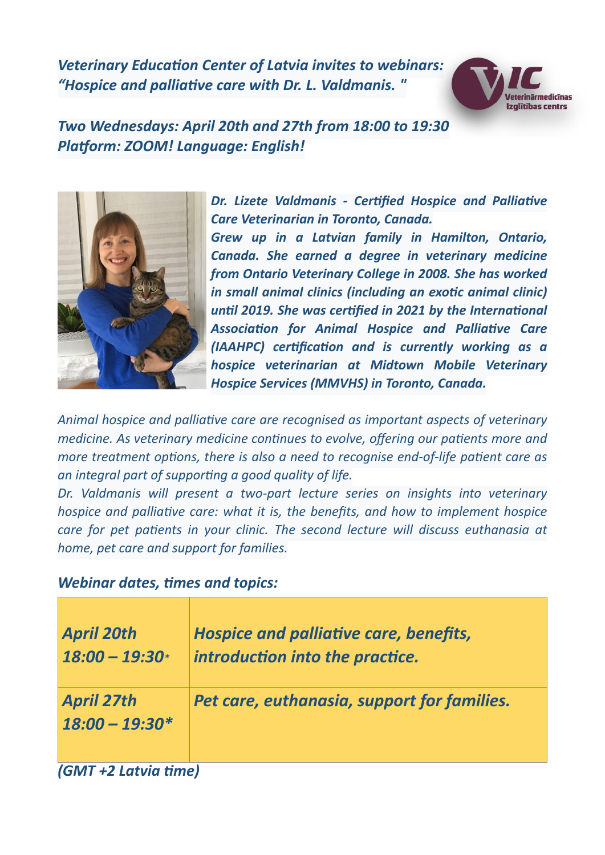*Veterinary Education Center of Latvia invites to webinars: "Hospice and palliative care with Dr. L. Valdmanis. "*



*Two Wednesdays: April 20th and 27th from 18:00 to 19:30 Platform: ZOOM! Language: English!*



*Dr. Lizete Valdmanis - Certified Hospice and Palliative Care Veterinarian in Toronto, Canada. Grew up in a Latvian family in Hamilton, Ontario, Canada. She earned a degree in veterinary medicine from Ontario Veterinary College in 2008. She has worked in small animal clinics (including an exotic animal clinic) until 2019. She was certified in 2021 by the International Association for Animal Hospice and Palliative Care (IAAHPC) certification and is currently working as a hospice veterinarian at Midtown Mobile Veterinary Hospice Services (MMVHS) in Toronto, Canada.*

*Animal hospice and palliative care are recognised as important aspects of veterinary medicine. As veterinary medicine continues to evolve, offering our patients more and more treatment options, there is also a need to recognise end-of-life patient care as an integral part of supporting a good quality of life.*

*Dr. Valdmanis will present a two-part lecture series on insights into veterinary hospice and palliative care: what it is, the benefits, and how to implement hospice care for pet patients in your clinic. The second lecture will discuss euthanasia at home, pet care and support for families.*

### *Webinar dates, times and topics:*

| <b>April 20th</b><br>$18:00 - 19:30*$ | Hospice and palliative care, benefits,<br>introduction into the practice. |
|---------------------------------------|---------------------------------------------------------------------------|
| <b>April 27th</b><br>$18:00 - 19:30*$ | Pet care, euthanasia, support for families.                               |
| (GMT +2 Latvia time)                  |                                                                           |